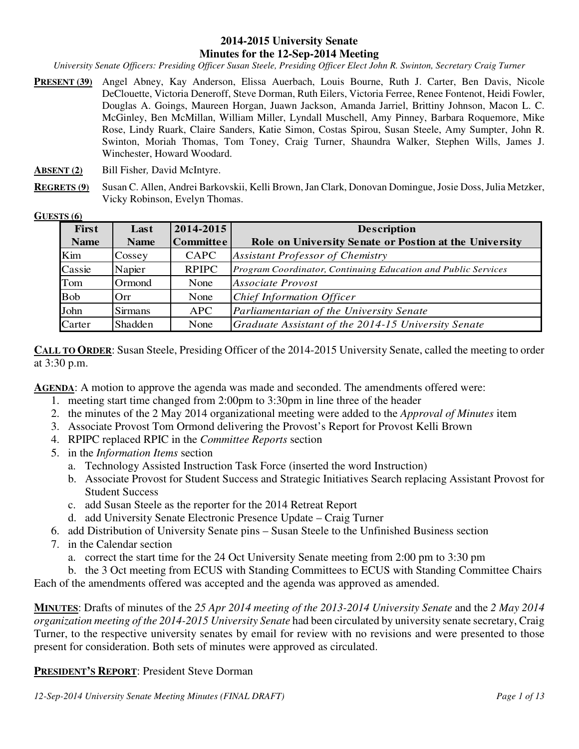#### **2014-2015 University Senate Minutes for the 12-Sep-2014 Meeting**

*University Senate Officers: Presiding Officer Susan Steele, Presiding Officer Elect John R. Swinton, Secretary Craig Turner* 

- **PRESENT (39)** Angel Abney, Kay Anderson, Elissa Auerbach, Louis Bourne, Ruth J. Carter, Ben Davis, Nicole DeClouette, Victoria Deneroff, Steve Dorman, Ruth Eilers, Victoria Ferree, Renee Fontenot, Heidi Fowler, Douglas A. Goings, Maureen Horgan, Juawn Jackson, Amanda Jarriel, Brittiny Johnson, Macon L. C. McGinley, Ben McMillan, William Miller, Lyndall Muschell, Amy Pinney, Barbara Roquemore, Mike Rose, Lindy Ruark, Claire Sanders, Katie Simon, Costas Spirou, Susan Steele, Amy Sumpter, John R. Swinton, Moriah Thomas, Tom Toney, Craig Turner, Shaundra Walker, Stephen Wills, James J. Winchester, Howard Woodard.
- **ABSENT (2)** Bill Fisher*,* David McIntyre.
- **REGRETS (9)** Susan C. Allen, Andrei Barkovskii, Kelli Brown, Jan Clark, Donovan Domingue, Josie Doss, Julia Metzker, Vicky Robinson, Evelyn Thomas.

#### **GUESTS (6)**

| <b>First</b> | Last           | 2014-2015        | <b>Description</b>                                            |
|--------------|----------------|------------------|---------------------------------------------------------------|
| <b>Name</b>  | <b>Name</b>    | <b>Committee</b> | Role on University Senate or Postion at the University        |
| Kim          | Cossey         | CAPC             | <b>Assistant Professor of Chemistry</b>                       |
| Cassie       | Napier         | <b>RPIPC</b>     | Program Coordinator, Continuing Education and Public Services |
| Tom          | Ormond         | None             | <b>Associate Provost</b>                                      |
| <b>Bob</b>   | Orr            | None             | Chief Information Officer                                     |
| John         | <b>Sirmans</b> | <b>APC</b>       | Parliamentarian of the University Senate                      |
| Carter       | Shadden        | None             | Graduate Assistant of the 2014-15 University Senate           |

**CALL TO ORDER:** Susan Steele, Presiding Officer of the 2014-2015 University Senate, called the meeting to order at 3:30 p.m.

AGENDA: A motion to approve the agenda was made and seconded. The amendments offered were:

- 1. meeting start time changed from 2:00pm to 3:30pm in line three of the header
- 2. the minutes of the 2 May 2014 organizational meeting were added to the *Approval of Minutes* item
- 3. Associate Provost Tom Ormond delivering the Provost's Report for Provost Kelli Brown
- 4. RPIPC replaced RPIC in the *Committee Reports* section
- 5. in the *Information Items* section
	- a. Technology Assisted Instruction Task Force (inserted the word Instruction)
	- b. Associate Provost for Student Success and Strategic Initiatives Search replacing Assistant Provost for Student Success
	- c. add Susan Steele as the reporter for the 2014 Retreat Report
	- d. add University Senate Electronic Presence Update Craig Turner
- 6. add Distribution of University Senate pins Susan Steele to the Unfinished Business section
- 7. in the Calendar section
	- a. correct the start time for the 24 Oct University Senate meeting from 2:00 pm to 3:30 pm

b. the 3 Oct meeting from ECUS with Standing Committees to ECUS with Standing Committee Chairs Each of the amendments offered was accepted and the agenda was approved as amended.

**MINUTES**: Drafts of minutes of the *25 Apr 2014 meeting of the 2013-2014 University Senate* and the *2 May 2014 organization meeting of the 2014-2015 University Senate* had been circulated by university senate secretary, Craig Turner, to the respective university senates by email for review with no revisions and were presented to those present for consideration. Both sets of minutes were approved as circulated.

#### **PRESIDENT'S REPORT**: President Steve Dorman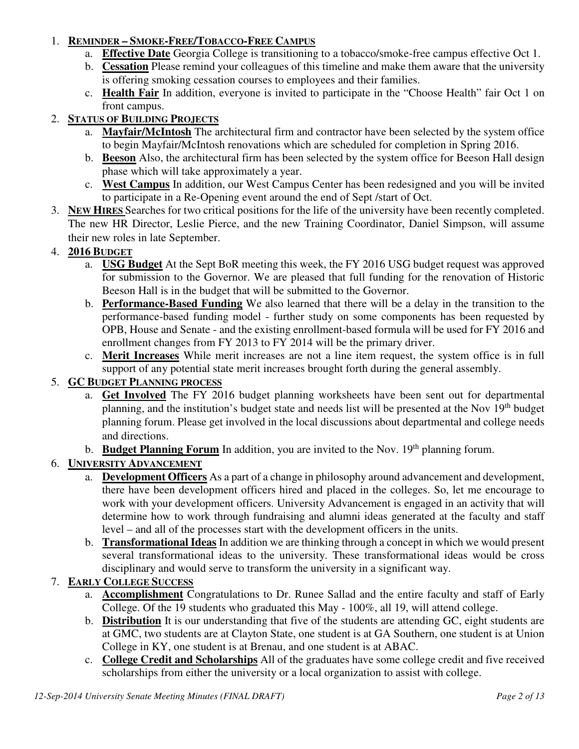## 1. **REMINDER – SMOKE-FREE/TOBACCO-FREE CAMPUS**

- a. **Effective Date** Georgia College is transitioning to a tobacco/smoke-free campus effective Oct 1.
- b. **Cessation** Please remind your colleagues of this timeline and make them aware that the university is offering smoking cessation courses to employees and their families.
- c. **Health Fair** In addition, everyone is invited to participate in the "Choose Health" fair Oct 1 on front campus.

## 2. **STATUS OF BUILDING PROJECTS**

- a. **Mayfair/McIntosh** The architectural firm and contractor have been selected by the system office to begin Mayfair/McIntosh renovations which are scheduled for completion in Spring 2016.
- b. **Beeson** Also, the architectural firm has been selected by the system office for Beeson Hall design phase which will take approximately a year.
- c. **West Campus** In addition, our West Campus Center has been redesigned and you will be invited to participate in a Re-Opening event around the end of Sept /start of Oct.
- 3. **NEW HIRES** Searches for two critical positions for the life of the university have been recently completed. The new HR Director, Leslie Pierce, and the new Training Coordinator, Daniel Simpson, will assume their new roles in late September.

## 4. **2016 BUDGET**

- a. **USG Budget** At the Sept BoR meeting this week, the FY 2016 USG budget request was approved for submission to the Governor. We are pleased that full funding for the renovation of Historic Beeson Hall is in the budget that will be submitted to the Governor.
- b. **Performance-Based Funding** We also learned that there will be a delay in the transition to the performance-based funding model - further study on some components has been requested by OPB, House and Senate - and the existing enrollment-based formula will be used for FY 2016 and enrollment changes from FY 2013 to FY 2014 will be the primary driver.
- c. **Merit Increases** While merit increases are not a line item request, the system office is in full support of any potential state merit increases brought forth during the general assembly.

# 5. **GC BUDGET PLANNING PROCESS**

- a. **Get Involved** The FY 2016 budget planning worksheets have been sent out for departmental planning, and the institution's budget state and needs list will be presented at the Nov 19<sup>th</sup> budget planning forum. Please get involved in the local discussions about departmental and college needs and directions.
- b. **Budget Planning Forum** In addition, you are invited to the Nov. 19<sup>th</sup> planning forum.

# 6. **UNIVERSITY ADVANCEMENT**

- a. **Development Officers** As a part of a change in philosophy around advancement and development, there have been development officers hired and placed in the colleges. So, let me encourage to work with your development officers. University Advancement is engaged in an activity that will determine how to work through fundraising and alumni ideas generated at the faculty and staff level – and all of the processes start with the development officers in the units.
- b. **Transformational Ideas** In addition we are thinking through a concept in which we would present several transformational ideas to the university. These transformational ideas would be cross disciplinary and would serve to transform the university in a significant way.

### 7. **EARLY COLLEGE SUCCESS**

- a. **Accomplishment** Congratulations to Dr. Runee Sallad and the entire faculty and staff of Early College. Of the 19 students who graduated this May - 100%, all 19, will attend college.
- b. **Distribution** It is our understanding that five of the students are attending GC, eight students are at GMC, two students are at Clayton State, one student is at GA Southern, one student is at Union College in KY, one student is at Brenau, and one student is at ABAC.
- c. **College Credit and Scholarships** All of the graduates have some college credit and five received scholarships from either the university or a local organization to assist with college.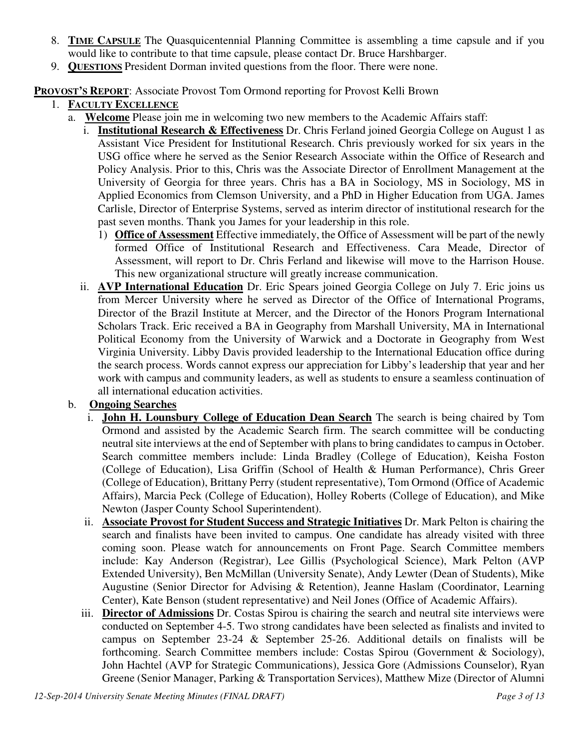- 8. **TIME CAPSULE** The Quasquicentennial Planning Committee is assembling a time capsule and if you would like to contribute to that time capsule, please contact Dr. Bruce Harshbarger.
- 9. **QUESTIONS** President Dorman invited questions from the floor. There were none.

**PROVOST'S REPORT**: Associate Provost Tom Ormond reporting for Provost Kelli Brown

- 1. **FACULTY EXCELLENCE**
	- a. **Welcome** Please join me in welcoming two new members to the Academic Affairs staff:
		- i. **Institutional Research & Effectiveness** Dr. Chris Ferland joined Georgia College on August 1 as Assistant Vice President for Institutional Research. Chris previously worked for six years in the USG office where he served as the Senior Research Associate within the Office of Research and Policy Analysis. Prior to this, Chris was the Associate Director of Enrollment Management at the University of Georgia for three years. Chris has a BA in Sociology, MS in Sociology, MS in Applied Economics from Clemson University, and a PhD in Higher Education from UGA. James Carlisle, Director of Enterprise Systems, served as interim director of institutional research for the past seven months. Thank you James for your leadership in this role.
			- 1) **Office of Assessment** Effective immediately, the Office of Assessment will be part of the newly formed Office of Institutional Research and Effectiveness. Cara Meade, Director of Assessment, will report to Dr. Chris Ferland and likewise will move to the Harrison House. This new organizational structure will greatly increase communication.
		- ii. **AVP International Education** Dr. Eric Spears joined Georgia College on July 7. Eric joins us from Mercer University where he served as Director of the Office of International Programs, Director of the Brazil Institute at Mercer, and the Director of the Honors Program International Scholars Track. Eric received a BA in Geography from Marshall University, MA in International Political Economy from the University of Warwick and a Doctorate in Geography from West Virginia University. Libby Davis provided leadership to the International Education office during the search process. Words cannot express our appreciation for Libby's leadership that year and her work with campus and community leaders, as well as students to ensure a seamless continuation of all international education activities.
	- b. **Ongoing Searches**
		- i. **John H. Lounsbury College of Education Dean Search** The search is being chaired by Tom Ormond and assisted by the Academic Search firm. The search committee will be conducting neutral site interviews at the end of September with plans to bring candidates to campus in October. Search committee members include: Linda Bradley (College of Education), Keisha Foston (College of Education), Lisa Griffin (School of Health & Human Performance), Chris Greer (College of Education), Brittany Perry (student representative), Tom Ormond (Office of Academic Affairs), Marcia Peck (College of Education), Holley Roberts (College of Education), and Mike Newton (Jasper County School Superintendent).
		- ii. **Associate Provost for Student Success and Strategic Initiatives** Dr. Mark Pelton is chairing the search and finalists have been invited to campus. One candidate has already visited with three coming soon. Please watch for announcements on Front Page. Search Committee members include: Kay Anderson (Registrar), Lee Gillis (Psychological Science), Mark Pelton (AVP Extended University), Ben McMillan (University Senate), Andy Lewter (Dean of Students), Mike Augustine (Senior Director for Advising & Retention), Jeanne Haslam (Coordinator, Learning Center), Kate Benson (student representative) and Neil Jones (Office of Academic Affairs).
		- iii. **Director of Admissions** Dr. Costas Spirou is chairing the search and neutral site interviews were conducted on September 4-5. Two strong candidates have been selected as finalists and invited to campus on September 23-24 & September 25-26. Additional details on finalists will be forthcoming. Search Committee members include: Costas Spirou (Government & Sociology), John Hachtel (AVP for Strategic Communications), Jessica Gore (Admissions Counselor), Ryan Greene (Senior Manager, Parking & Transportation Services), Matthew Mize (Director of Alumni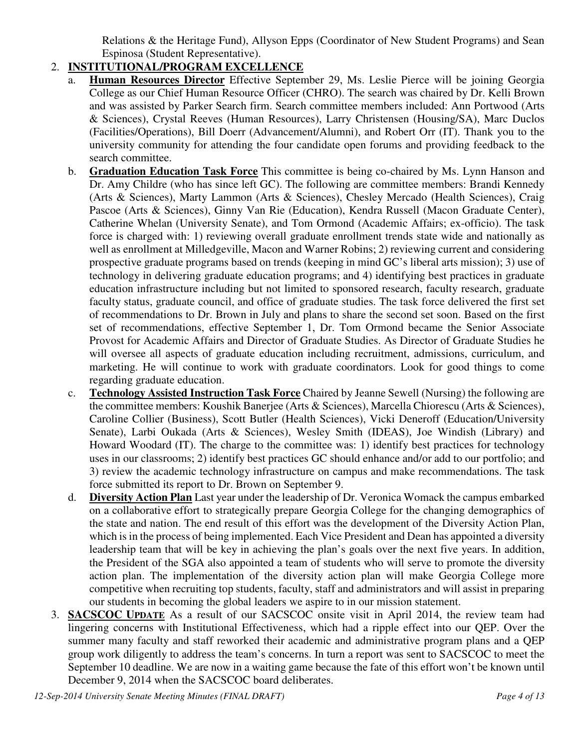Relations & the Heritage Fund), Allyson Epps (Coordinator of New Student Programs) and Sean Espinosa (Student Representative).

# 2. **INSTITUTIONAL/PROGRAM EXCELLENCE**

- a. **Human Resources Director** Effective September 29, Ms. Leslie Pierce will be joining Georgia College as our Chief Human Resource Officer (CHRO). The search was chaired by Dr. Kelli Brown and was assisted by Parker Search firm. Search committee members included: Ann Portwood (Arts & Sciences), Crystal Reeves (Human Resources), Larry Christensen (Housing/SA), Marc Duclos (Facilities/Operations), Bill Doerr (Advancement/Alumni), and Robert Orr (IT). Thank you to the university community for attending the four candidate open forums and providing feedback to the search committee.
- b. **Graduation Education Task Force** This committee is being co-chaired by Ms. Lynn Hanson and Dr. Amy Childre (who has since left GC). The following are committee members: Brandi Kennedy (Arts & Sciences), Marty Lammon (Arts & Sciences), Chesley Mercado (Health Sciences), Craig Pascoe (Arts & Sciences), Ginny Van Rie (Education), Kendra Russell (Macon Graduate Center), Catherine Whelan (University Senate), and Tom Ormond (Academic Affairs; ex-officio). The task force is charged with: 1) reviewing overall graduate enrollment trends state wide and nationally as well as enrollment at Milledgeville, Macon and Warner Robins; 2) reviewing current and considering prospective graduate programs based on trends (keeping in mind GC's liberal arts mission); 3) use of technology in delivering graduate education programs; and 4) identifying best practices in graduate education infrastructure including but not limited to sponsored research, faculty research, graduate faculty status, graduate council, and office of graduate studies. The task force delivered the first set of recommendations to Dr. Brown in July and plans to share the second set soon. Based on the first set of recommendations, effective September 1, Dr. Tom Ormond became the Senior Associate Provost for Academic Affairs and Director of Graduate Studies. As Director of Graduate Studies he will oversee all aspects of graduate education including recruitment, admissions, curriculum, and marketing. He will continue to work with graduate coordinators. Look for good things to come regarding graduate education.
- c. **Technology Assisted Instruction Task Force** Chaired by Jeanne Sewell (Nursing) the following are the committee members: Koushik Banerjee (Arts & Sciences), Marcella Chiorescu (Arts & Sciences), Caroline Collier (Business), Scott Butler (Health Sciences), Vicki Deneroff (Education/University Senate), Larbi Oukada (Arts & Sciences), Wesley Smith (IDEAS), Joe Windish (Library) and Howard Woodard (IT). The charge to the committee was: 1) identify best practices for technology uses in our classrooms; 2) identify best practices GC should enhance and/or add to our portfolio; and 3) review the academic technology infrastructure on campus and make recommendations. The task force submitted its report to Dr. Brown on September 9.
- d. **Diversity Action Plan** Last year under the leadership of Dr. Veronica Womack the campus embarked on a collaborative effort to strategically prepare Georgia College for the changing demographics of the state and nation. The end result of this effort was the development of the Diversity Action Plan, which is in the process of being implemented. Each Vice President and Dean has appointed a diversity leadership team that will be key in achieving the plan's goals over the next five years. In addition, the President of the SGA also appointed a team of students who will serve to promote the diversity action plan. The implementation of the diversity action plan will make Georgia College more competitive when recruiting top students, faculty, staff and administrators and will assist in preparing our students in becoming the global leaders we aspire to in our mission statement.
- 3. **SACSCOC UPDATE** As a result of our SACSCOC onsite visit in April 2014, the review team had lingering concerns with Institutional Effectiveness, which had a ripple effect into our QEP. Over the summer many faculty and staff reworked their academic and administrative program plans and a QEP group work diligently to address the team's concerns. In turn a report was sent to SACSCOC to meet the September 10 deadline. We are now in a waiting game because the fate of this effort won't be known until December 9, 2014 when the SACSCOC board deliberates.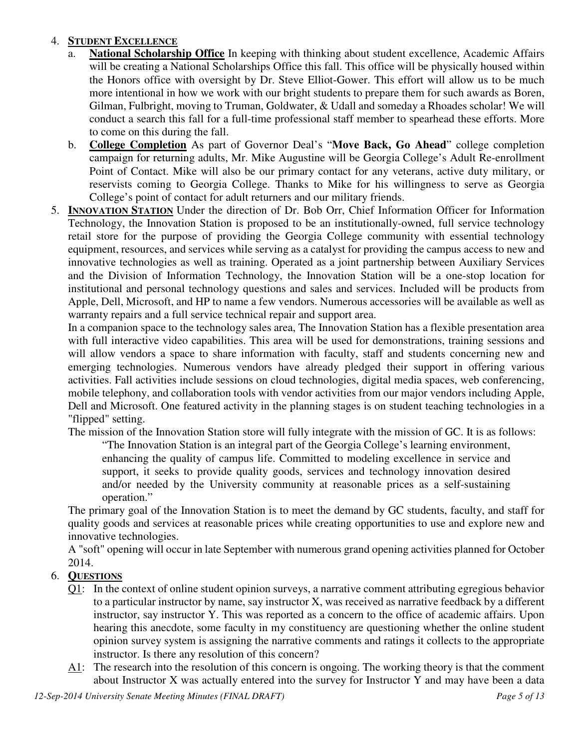## 4. **STUDENT EXCELLENCE**

- a. **National Scholarship Office** In keeping with thinking about student excellence, Academic Affairs will be creating a National Scholarships Office this fall. This office will be physically housed within the Honors office with oversight by Dr. Steve Elliot-Gower. This effort will allow us to be much more intentional in how we work with our bright students to prepare them for such awards as Boren, Gilman, Fulbright, moving to Truman, Goldwater, & Udall and someday a Rhoades scholar! We will conduct a search this fall for a full-time professional staff member to spearhead these efforts. More to come on this during the fall.
- b. **College Completion** As part of Governor Deal's "**Move Back, Go Ahead**" college completion campaign for returning adults, Mr. Mike Augustine will be Georgia College's Adult Re-enrollment Point of Contact. Mike will also be our primary contact for any veterans, active duty military, or reservists coming to Georgia College. Thanks to Mike for his willingness to serve as Georgia College's point of contact for adult returners and our military friends.
- 5. **INNOVATION STATION** Under the direction of Dr. Bob Orr, Chief Information Officer for Information Technology, the Innovation Station is proposed to be an institutionally-owned, full service technology retail store for the purpose of providing the Georgia College community with essential technology equipment, resources, and services while serving as a catalyst for providing the campus access to new and innovative technologies as well as training. Operated as a joint partnership between Auxiliary Services and the Division of Information Technology, the Innovation Station will be a one-stop location for institutional and personal technology questions and sales and services. Included will be products from Apple, Dell, Microsoft, and HP to name a few vendors. Numerous accessories will be available as well as warranty repairs and a full service technical repair and support area.

In a companion space to the technology sales area, The Innovation Station has a flexible presentation area with full interactive video capabilities. This area will be used for demonstrations, training sessions and will allow vendors a space to share information with faculty, staff and students concerning new and emerging technologies. Numerous vendors have already pledged their support in offering various activities. Fall activities include sessions on cloud technologies, digital media spaces, web conferencing, mobile telephony, and collaboration tools with vendor activities from our major vendors including Apple, Dell and Microsoft. One featured activity in the planning stages is on student teaching technologies in a "flipped" setting.

The mission of the Innovation Station store will fully integrate with the mission of GC. It is as follows:

"The Innovation Station is an integral part of the Georgia College's learning environment, enhancing the quality of campus life. Committed to modeling excellence in service and support, it seeks to provide quality goods, services and technology innovation desired and/or needed by the University community at reasonable prices as a self-sustaining operation."

The primary goal of the Innovation Station is to meet the demand by GC students, faculty, and staff for quality goods and services at reasonable prices while creating opportunities to use and explore new and innovative technologies.

A "soft" opening will occur in late September with numerous grand opening activities planned for October 2014.

## 6. **QUESTIONS**

- Q1: In the context of online student opinion surveys, a narrative comment attributing egregious behavior to a particular instructor by name, say instructor X, was received as narrative feedback by a different instructor, say instructor Y. This was reported as a concern to the office of academic affairs. Upon hearing this anecdote, some faculty in my constituency are questioning whether the online student opinion survey system is assigning the narrative comments and ratings it collects to the appropriate instructor. Is there any resolution of this concern?
- A1: The research into the resolution of this concern is ongoing. The working theory is that the comment about Instructor X was actually entered into the survey for Instructor Y and may have been a data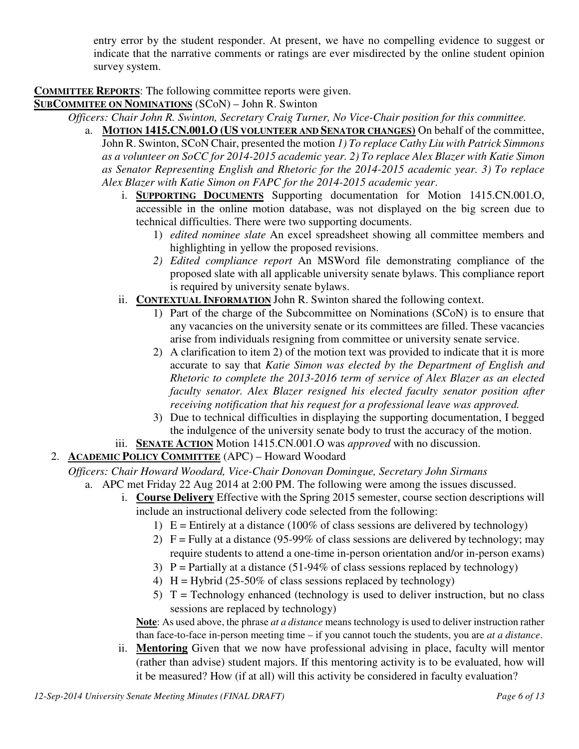entry error by the student responder. At present, we have no compelling evidence to suggest or indicate that the narrative comments or ratings are ever misdirected by the online student opinion survey system.

**COMMITTEE REPORTS**: The following committee reports were given.

**SUBCOMMITEE ON NOMINATIONS** (SCoN) – John R. Swinton

*Officers: Chair John R. Swinton, Secretary Craig Turner, No Vice-Chair position for this committee.*

- a. **MOTION 1415.CN.001.O (US VOLUNTEER AND SENATOR CHANGES)** On behalf of the committee, John R. Swinton, SCoN Chair, presented the motion *1) To replace Cathy Liu with Patrick Simmons as a volunteer on SoCC for 2014-2015 academic year. 2) To replace Alex Blazer with Katie Simon as Senator Representing English and Rhetoric for the 2014-2015 academic year. 3) To replace Alex Blazer with Katie Simon on FAPC for the 2014-2015 academic year*.
	- i. **SUPPORTING DOCUMENTS** Supporting documentation for Motion 1415.CN.001.O, accessible in the online motion database, was not displayed on the big screen due to technical difficulties. There were two supporting documents.
		- 1) *edited nominee slate* An excel spreadsheet showing all committee members and highlighting in yellow the proposed revisions.
		- *2) Edited compliance report* An MSWord file demonstrating compliance of the proposed slate with all applicable university senate bylaws. This compliance report is required by university senate bylaws.
	- ii. **CONTEXTUAL INFORMATION** John R. Swinton shared the following context.
		- 1) Part of the charge of the Subcommittee on Nominations (SCoN) is to ensure that any vacancies on the university senate or its committees are filled. These vacancies arise from individuals resigning from committee or university senate service.
		- 2) A clarification to item 2) of the motion text was provided to indicate that it is more accurate to say that *Katie Simon was elected by the Department of English and Rhetoric to complete the 2013-2016 term of service of Alex Blazer as an elected faculty senator. Alex Blazer resigned his elected faculty senator position after receiving notification that his request for a professional leave was approved.*
		- 3) Due to technical difficulties in displaying the supporting documentation, I begged the indulgence of the university senate body to trust the accuracy of the motion.
	- iii. **SENATE ACTION** Motion 1415.CN.001.O was *approved* with no discussion.
- 2. **ACADEMIC POLICY COMMITTEE** (APC) Howard Woodard

*Officers: Chair Howard Woodard, Vice-Chair Donovan Domingue, Secretary John Sirmans*

- a. APC met Friday 22 Aug 2014 at 2:00 PM. The following were among the issues discussed.
	- i. **Course Delivery** Effective with the Spring 2015 semester, course section descriptions will include an instructional delivery code selected from the following:
		- 1)  $E =$  Entirely at a distance (100% of class sessions are delivered by technology)
		- 2)  $F =$  Fully at a distance (95-99% of class sessions are delivered by technology; may require students to attend a one-time in-person orientation and/or in-person exams)
		- 3)  $P =$  Partially at a distance (51-94% of class sessions replaced by technology)
		- 4)  $H = Hybrid (25-50\% of class sessions replaced by technology)$
		- 5)  $T =$  Technology enhanced (technology is used to deliver instruction, but no class sessions are replaced by technology)

**Note**: As used above, the phrase *at a distance* means technology is used to deliver instruction rather than face-to-face in-person meeting time – if you cannot touch the students, you are *at a distance*.

ii. **Mentoring** Given that we now have professional advising in place, faculty will mentor (rather than advise) student majors. If this mentoring activity is to be evaluated, how will it be measured? How (if at all) will this activity be considered in faculty evaluation?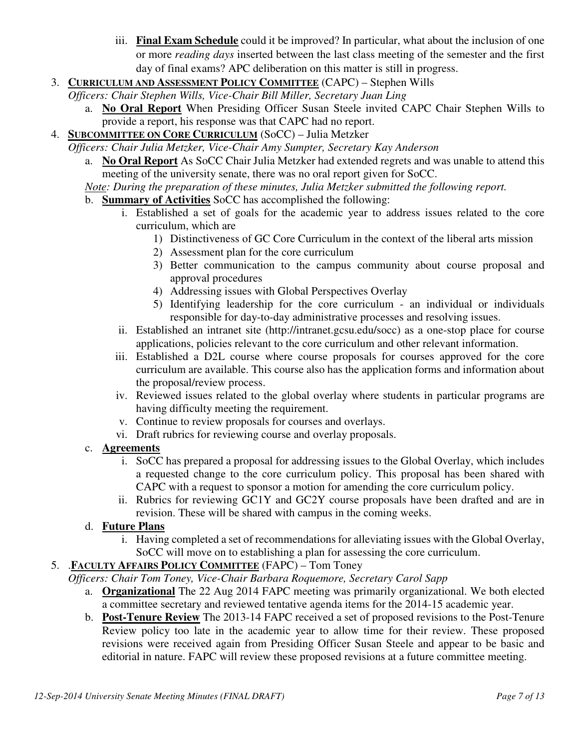- iii. **Final Exam Schedule** could it be improved? In particular, what about the inclusion of one or more *reading days* inserted between the last class meeting of the semester and the first day of final exams? APC deliberation on this matter is still in progress.
- 3. **CURRICULUM AND ASSESSMENT POLICY COMMITTEE** (CAPC) Stephen Wills

*Officers: Chair Stephen Wills, Vice-Chair Bill Miller, Secretary Juan Ling*

- a. **No Oral Report** When Presiding Officer Susan Steele invited CAPC Chair Stephen Wills to provide a report, his response was that CAPC had no report.
- 4. **SUBCOMMITTEE ON CORE CURRICULUM** (SoCC) Julia Metzker

*Officers: Chair Julia Metzker, Vice-Chair Amy Sumpter, Secretary Kay Anderson*

a. **No Oral Report** As SoCC Chair Julia Metzker had extended regrets and was unable to attend this meeting of the university senate, there was no oral report given for SoCC.

*Note: During the preparation of these minutes, Julia Metzker submitted the following report.* 

- b. **Summary of Activities** SoCC has accomplished the following:
	- i. Established a set of goals for the academic year to address issues related to the core curriculum, which are
		- 1) Distinctiveness of GC Core Curriculum in the context of the liberal arts mission
		- 2) Assessment plan for the core curriculum
		- 3) Better communication to the campus community about course proposal and approval procedures
		- 4) Addressing issues with Global Perspectives Overlay
		- 5) Identifying leadership for the core curriculum an individual or individuals responsible for day-to-day administrative processes and resolving issues.
	- ii. Established an intranet site (http://intranet.gcsu.edu/socc) as a one-stop place for course applications, policies relevant to the core curriculum and other relevant information.
	- iii. Established a D2L course where course proposals for courses approved for the core curriculum are available. This course also has the application forms and information about the proposal/review process.
	- iv. Reviewed issues related to the global overlay where students in particular programs are having difficulty meeting the requirement.
	- v. Continue to review proposals for courses and overlays.
	- vi. Draft rubrics for reviewing course and overlay proposals.

#### c. **Agreements**

- i. SoCC has prepared a proposal for addressing issues to the Global Overlay, which includes a requested change to the core curriculum policy. This proposal has been shared with CAPC with a request to sponsor a motion for amending the core curriculum policy.
- ii. Rubrics for reviewing GC1Y and GC2Y course proposals have been drafted and are in revision. These will be shared with campus in the coming weeks.

## d. **Future Plans**

i. Having completed a set of recommendations for alleviating issues with the Global Overlay, SoCC will move on to establishing a plan for assessing the core curriculum.

### 5. .**FACULTY AFFAIRS POLICY COMMITTEE** (FAPC) – Tom Toney

*Officers: Chair Tom Toney, Vice-Chair Barbara Roquemore, Secretary Carol Sapp*

- a. **Organizational** The 22 Aug 2014 FAPC meeting was primarily organizational. We both elected a committee secretary and reviewed tentative agenda items for the 2014-15 academic year.
- b. **Post-Tenure Review** The 2013-14 FAPC received a set of proposed revisions to the Post-Tenure Review policy too late in the academic year to allow time for their review. These proposed revisions were received again from Presiding Officer Susan Steele and appear to be basic and editorial in nature. FAPC will review these proposed revisions at a future committee meeting.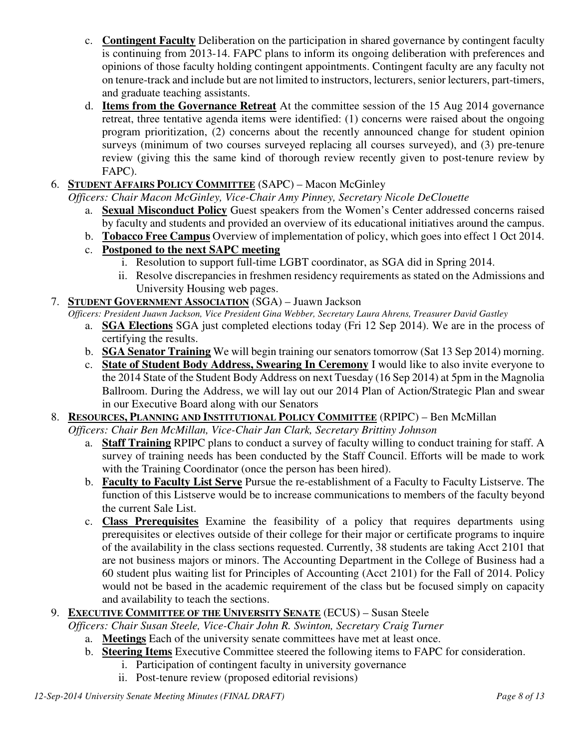- c. **Contingent Faculty** Deliberation on the participation in shared governance by contingent faculty is continuing from 2013-14. FAPC plans to inform its ongoing deliberation with preferences and opinions of those faculty holding contingent appointments. Contingent faculty are any faculty not on tenure-track and include but are not limited to instructors, lecturers, senior lecturers, part-timers, and graduate teaching assistants.
- d. **Items from the Governance Retreat** At the committee session of the 15 Aug 2014 governance retreat, three tentative agenda items were identified: (1) concerns were raised about the ongoing program prioritization, (2) concerns about the recently announced change for student opinion surveys (minimum of two courses surveyed replacing all courses surveyed), and (3) pre-tenure review (giving this the same kind of thorough review recently given to post-tenure review by FAPC).
- 6. **STUDENT AFFAIRS POLICY COMMITTEE** (SAPC) Macon McGinley

*Officers: Chair Macon McGinley, Vice-Chair Amy Pinney, Secretary Nicole DeClouette*

- a. **Sexual Misconduct Policy** Guest speakers from the Women's Center addressed concerns raised by faculty and students and provided an overview of its educational initiatives around the campus.
- b. **Tobacco Free Campus** Overview of implementation of policy, which goes into effect 1 Oct 2014.
- c. **Postponed to the next SAPC meeting**
	- i. Resolution to support full-time LGBT coordinator, as SGA did in Spring 2014.
	- ii. Resolve discrepancies in freshmen residency requirements as stated on the Admissions and University Housing web pages.
- 7. **STUDENT GOVERNMENT ASSOCIATION** (SGA) Juawn Jackson

*Officers: President Juawn Jackson, Vice President Gina Webber, Secretary Laura Ahrens, Treasurer David Gastley*

- a. **SGA Elections** SGA just completed elections today (Fri 12 Sep 2014). We are in the process of certifying the results.
- b. **SGA Senator Training** We will begin training our senators tomorrow (Sat 13 Sep 2014) morning.
- c. **State of Student Body Address, Swearing In Ceremony** I would like to also invite everyone to the 2014 State of the Student Body Address on next Tuesday (16 Sep 2014) at 5pm in the Magnolia Ballroom. During the Address, we will lay out our 2014 Plan of Action/Strategic Plan and swear in our Executive Board along with our Senators
- 8. **RESOURCES, PLANNING AND INSTITUTIONAL POLICY COMMITTEE** (RPIPC) Ben McMillan *Officers: Chair Ben McMillan, Vice-Chair Jan Clark, Secretary Brittiny Johnson* 
	- a. **Staff Training** RPIPC plans to conduct a survey of faculty willing to conduct training for staff. A survey of training needs has been conducted by the Staff Council. Efforts will be made to work with the Training Coordinator (once the person has been hired).
	- b. **Faculty to Faculty List Serve** Pursue the re-establishment of a Faculty to Faculty Listserve. The function of this Listserve would be to increase communications to members of the faculty beyond the current Sale List.
	- c. **Class Prerequisites** Examine the feasibility of a policy that requires departments using prerequisites or electives outside of their college for their major or certificate programs to inquire of the availability in the class sections requested. Currently, 38 students are taking Acct 2101 that are not business majors or minors. The Accounting Department in the College of Business had a 60 student plus waiting list for Principles of Accounting (Acct 2101) for the Fall of 2014. Policy would not be based in the academic requirement of the class but be focused simply on capacity and availability to teach the sections.

## 9. **EXECUTIVE COMMITTEE OF THE UNIVERSITY SENATE** (ECUS) – Susan Steele

*Officers: Chair Susan Steele, Vice-Chair John R. Swinton, Secretary Craig Turner*

- a. **Meetings** Each of the university senate committees have met at least once.
- b. **Steering Items** Executive Committee steered the following items to FAPC for consideration.
	- i. Participation of contingent faculty in university governance
	- ii. Post-tenure review (proposed editorial revisions)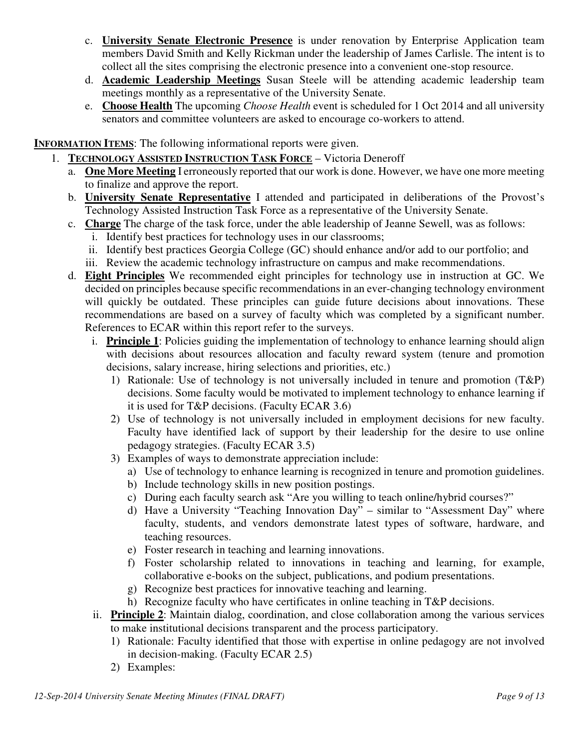- c. **University Senate Electronic Presence** is under renovation by Enterprise Application team members David Smith and Kelly Rickman under the leadership of James Carlisle. The intent is to collect all the sites comprising the electronic presence into a convenient one-stop resource.
- d. **Academic Leadership Meetings** Susan Steele will be attending academic leadership team meetings monthly as a representative of the University Senate.
- e. **Choose Health** The upcoming *Choose Health* event is scheduled for 1 Oct 2014 and all university senators and committee volunteers are asked to encourage co-workers to attend.

**INFORMATION ITEMS**: The following informational reports were given.

- 1. **TECHNOLOGY ASSISTED INSTRUCTION TASK FORCE** Victoria Deneroff
	- a. **One More Meeting** I erroneously reported that our work is done. However, we have one more meeting to finalize and approve the report.
	- b. **University Senate Representative** I attended and participated in deliberations of the Provost's Technology Assisted Instruction Task Force as a representative of the University Senate.
	- c. **Charge** The charge of the task force, under the able leadership of Jeanne Sewell, was as follows:
		- i. Identify best practices for technology uses in our classrooms;
		- ii. Identify best practices Georgia College (GC) should enhance and/or add to our portfolio; and
		- iii. Review the academic technology infrastructure on campus and make recommendations.
	- d. **Eight Principles** We recommended eight principles for technology use in instruction at GC. We decided on principles because specific recommendations in an ever-changing technology environment will quickly be outdated. These principles can guide future decisions about innovations. These recommendations are based on a survey of faculty which was completed by a significant number. References to ECAR within this report refer to the surveys.
		- i. **Principle 1**: Policies guiding the implementation of technology to enhance learning should align with decisions about resources allocation and faculty reward system (tenure and promotion decisions, salary increase, hiring selections and priorities, etc.)
			- 1) Rationale: Use of technology is not universally included in tenure and promotion (T&P) decisions. Some faculty would be motivated to implement technology to enhance learning if it is used for T&P decisions. (Faculty ECAR 3.6)
			- 2) Use of technology is not universally included in employment decisions for new faculty. Faculty have identified lack of support by their leadership for the desire to use online pedagogy strategies. (Faculty ECAR 3.5)
			- 3) Examples of ways to demonstrate appreciation include:
				- a) Use of technology to enhance learning is recognized in tenure and promotion guidelines.
				- b) Include technology skills in new position postings.
				- c) During each faculty search ask "Are you willing to teach online/hybrid courses?"
				- d) Have a University "Teaching Innovation Day" similar to "Assessment Day" where faculty, students, and vendors demonstrate latest types of software, hardware, and teaching resources.
				- e) Foster research in teaching and learning innovations.
				- f) Foster scholarship related to innovations in teaching and learning, for example, collaborative e-books on the subject, publications, and podium presentations.
				- g) Recognize best practices for innovative teaching and learning.
				- h) Recognize faculty who have certificates in online teaching in T&P decisions.
		- ii. **Principle 2**: Maintain dialog, coordination, and close collaboration among the various services to make institutional decisions transparent and the process participatory.
			- 1) Rationale: Faculty identified that those with expertise in online pedagogy are not involved in decision-making. (Faculty ECAR 2.5)
			- 2) Examples: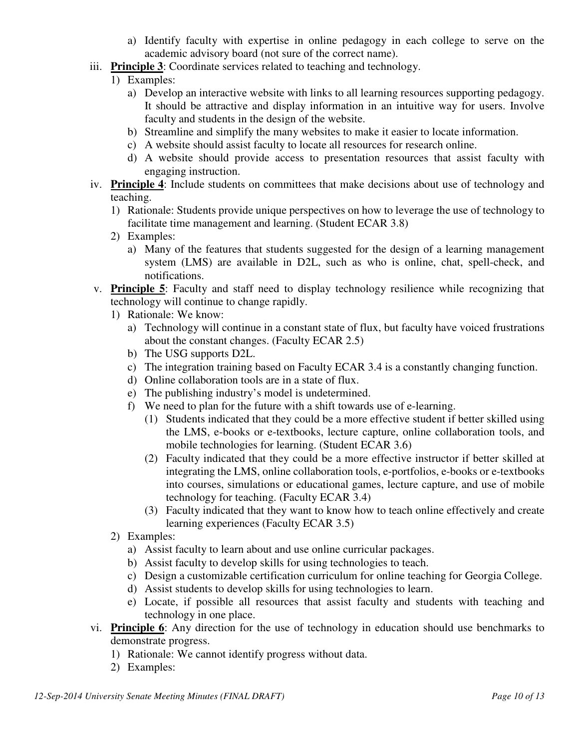- a) Identify faculty with expertise in online pedagogy in each college to serve on the academic advisory board (not sure of the correct name).
- iii. **Principle 3**: Coordinate services related to teaching and technology.
	- 1) Examples:
		- a) Develop an interactive website with links to all learning resources supporting pedagogy. It should be attractive and display information in an intuitive way for users. Involve faculty and students in the design of the website.
		- b) Streamline and simplify the many websites to make it easier to locate information.
		- c) A website should assist faculty to locate all resources for research online.
		- d) A website should provide access to presentation resources that assist faculty with engaging instruction.
- iv. **Principle 4**: Include students on committees that make decisions about use of technology and teaching.
	- 1) Rationale: Students provide unique perspectives on how to leverage the use of technology to facilitate time management and learning. (Student ECAR 3.8)
	- 2) Examples:
		- a) Many of the features that students suggested for the design of a learning management system (LMS) are available in D2L, such as who is online, chat, spell-check, and notifications.
- v. **Principle 5**: Faculty and staff need to display technology resilience while recognizing that technology will continue to change rapidly.
	- 1) Rationale: We know:
		- a) Technology will continue in a constant state of flux, but faculty have voiced frustrations about the constant changes. (Faculty ECAR 2.5)
		- b) The USG supports D2L.
		- c) The integration training based on Faculty ECAR 3.4 is a constantly changing function.
		- d) Online collaboration tools are in a state of flux.
		- e) The publishing industry's model is undetermined.
		- f) We need to plan for the future with a shift towards use of e-learning.
			- (1) Students indicated that they could be a more effective student if better skilled using the LMS, e-books or e-textbooks, lecture capture, online collaboration tools, and mobile technologies for learning. (Student ECAR 3.6)
			- (2) Faculty indicated that they could be a more effective instructor if better skilled at integrating the LMS, online collaboration tools, e-portfolios, e-books or e-textbooks into courses, simulations or educational games, lecture capture, and use of mobile technology for teaching. (Faculty ECAR 3.4)
			- (3) Faculty indicated that they want to know how to teach online effectively and create learning experiences (Faculty ECAR 3.5)
	- 2) Examples:
		- a) Assist faculty to learn about and use online curricular packages.
		- b) Assist faculty to develop skills for using technologies to teach.
		- c) Design a customizable certification curriculum for online teaching for Georgia College.
		- d) Assist students to develop skills for using technologies to learn.
		- e) Locate, if possible all resources that assist faculty and students with teaching and technology in one place.
- vi. **Principle 6**: Any direction for the use of technology in education should use benchmarks to demonstrate progress.
	- 1) Rationale: We cannot identify progress without data.
	- 2) Examples: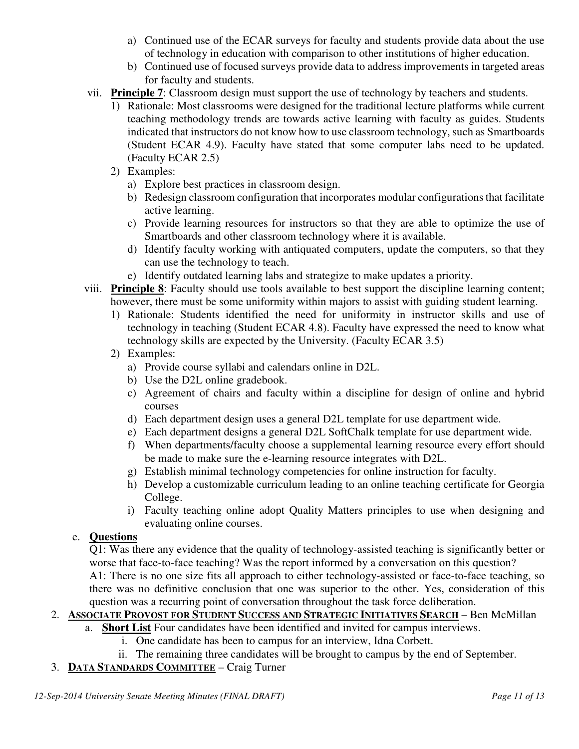- a) Continued use of the ECAR surveys for faculty and students provide data about the use of technology in education with comparison to other institutions of higher education.
- b) Continued use of focused surveys provide data to address improvements in targeted areas for faculty and students.
- vii. **Principle 7**: Classroom design must support the use of technology by teachers and students.
	- 1) Rationale: Most classrooms were designed for the traditional lecture platforms while current teaching methodology trends are towards active learning with faculty as guides. Students indicated that instructors do not know how to use classroom technology, such as Smartboards (Student ECAR 4.9). Faculty have stated that some computer labs need to be updated. (Faculty ECAR 2.5)
	- 2) Examples:
		- a) Explore best practices in classroom design.
		- b) Redesign classroom configuration that incorporates modular configurations that facilitate active learning.
		- c) Provide learning resources for instructors so that they are able to optimize the use of Smartboards and other classroom technology where it is available.
		- d) Identify faculty working with antiquated computers, update the computers, so that they can use the technology to teach.
		- e) Identify outdated learning labs and strategize to make updates a priority.
- viii. **Principle 8**: Faculty should use tools available to best support the discipline learning content; however, there must be some uniformity within majors to assist with guiding student learning.
	- 1) Rationale: Students identified the need for uniformity in instructor skills and use of technology in teaching (Student ECAR 4.8). Faculty have expressed the need to know what technology skills are expected by the University. (Faculty ECAR 3.5)
	- 2) Examples:
		- a) Provide course syllabi and calendars online in D2L.
		- b) Use the D2L online gradebook.
		- c) Agreement of chairs and faculty within a discipline for design of online and hybrid courses
		- d) Each department design uses a general D2L template for use department wide.
		- e) Each department designs a general D2L SoftChalk template for use department wide.
		- f) When departments/faculty choose a supplemental learning resource every effort should be made to make sure the e-learning resource integrates with D2L.
		- g) Establish minimal technology competencies for online instruction for faculty.
		- h) Develop a customizable curriculum leading to an online teaching certificate for Georgia College.
		- i) Faculty teaching online adopt Quality Matters principles to use when designing and evaluating online courses.

## e. **Questions**

Q1: Was there any evidence that the quality of technology-assisted teaching is significantly better or worse that face-to-face teaching? Was the report informed by a conversation on this question?

A1: There is no one size fits all approach to either technology-assisted or face-to-face teaching, so there was no definitive conclusion that one was superior to the other. Yes, consideration of this question was a recurring point of conversation throughout the task force deliberation.

## 2. **ASSOCIATE PROVOST FOR STUDENT SUCCESS AND STRATEGIC INITIATIVES SEARCH** – Ben McMillan

- a. **Short List** Four candidates have been identified and invited for campus interviews.
	- i. One candidate has been to campus for an interview, Idna Corbett.
	- ii. The remaining three candidates will be brought to campus by the end of September.

## 3. **DATA STANDARDS COMMITTEE** – Craig Turner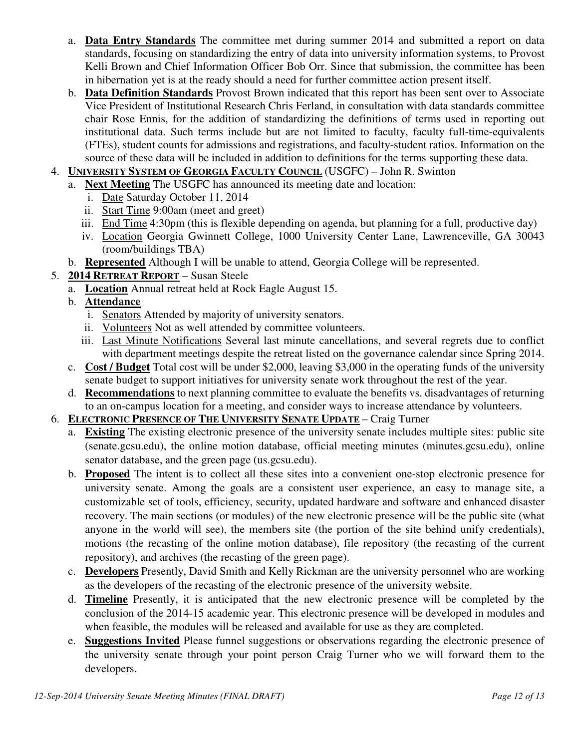- a. **Data Entry Standards** The committee met during summer 2014 and submitted a report on data standards, focusing on standardizing the entry of data into university information systems, to Provost Kelli Brown and Chief Information Officer Bob Orr. Since that submission, the committee has been in hibernation yet is at the ready should a need for further committee action present itself.
- b. **Data Definition Standards** Provost Brown indicated that this report has been sent over to Associate Vice President of Institutional Research Chris Ferland, in consultation with data standards committee chair Rose Ennis, for the addition of standardizing the definitions of terms used in reporting out institutional data. Such terms include but are not limited to faculty, faculty full-time-equivalents (FTEs), student counts for admissions and registrations, and faculty-student ratios. Information on the source of these data will be included in addition to definitions for the terms supporting these data.
- 4. **UNIVERSITY SYSTEM OF GEORGIA FACULTY COUNCIL** (USGFC) John R. Swinton
	- a. **Next Meeting** The USGFC has announced its meeting date and location:
		- i. Date Saturday October 11, 2014
		- ii. Start Time 9:00am (meet and greet)
		- iii. End Time 4:30pm (this is flexible depending on agenda, but planning for a full, productive day)
		- iv. Location Georgia Gwinnett College, 1000 University Center Lane, Lawrenceville, GA 30043 (room/buildings TBA)
	- b. **Represented** Although I will be unable to attend, Georgia College will be represented.
- 5. **2014 RETREAT REPORT** Susan Steele
	- a. **Location** Annual retreat held at Rock Eagle August 15.
	- b. **Attendance**
		- i. Senators Attended by majority of university senators.
		- ii. Volunteers Not as well attended by committee volunteers.
		- iii. Last Minute Notifications Several last minute cancellations, and several regrets due to conflict with department meetings despite the retreat listed on the governance calendar since Spring 2014.
	- c. **Cost / Budget** Total cost will be under \$2,000, leaving \$3,000 in the operating funds of the university senate budget to support initiatives for university senate work throughout the rest of the year.
	- d. **Recommendations** to next planning committee to evaluate the benefits vs. disadvantages of returning to an on-campus location for a meeting, and consider ways to increase attendance by volunteers.
- 6. **ELECTRONIC PRESENCE OF THE UNIVERSITY SENATE UPDATE** Craig Turner
	- a. **Existing** The existing electronic presence of the university senate includes multiple sites: public site (senate.gcsu.edu), the online motion database, official meeting minutes (minutes.gcsu.edu), online senator database, and the green page (us.gcsu.edu).
	- b. **Proposed** The intent is to collect all these sites into a convenient one-stop electronic presence for university senate. Among the goals are a consistent user experience, an easy to manage site, a customizable set of tools, efficiency, security, updated hardware and software and enhanced disaster recovery. The main sections (or modules) of the new electronic presence will be the public site (what anyone in the world will see), the members site (the portion of the site behind unify credentials), motions (the recasting of the online motion database), file repository (the recasting of the current repository), and archives (the recasting of the green page).
	- c. **Developers** Presently, David Smith and Kelly Rickman are the university personnel who are working as the developers of the recasting of the electronic presence of the university website.
	- d. **Timeline** Presently, it is anticipated that the new electronic presence will be completed by the conclusion of the 2014-15 academic year. This electronic presence will be developed in modules and when feasible, the modules will be released and available for use as they are completed.
	- e. **Suggestions Invited** Please funnel suggestions or observations regarding the electronic presence of the university senate through your point person Craig Turner who we will forward them to the developers.